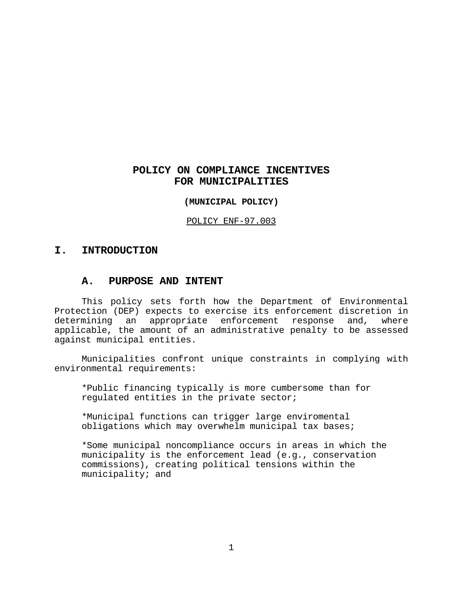# **POLICY ON COMPLIANCE INCENTIVES FOR MUNICIPALITIES**

#### **(MUNICIPAL POLICY)**

POLICY ENF-97.003

## **I. INTRODUCTION**

## **A. PURPOSE AND INTENT**

This policy sets forth how the Department of Environmental Protection (DEP) expects to exercise its enforcement discretion in determining an appropriate enforcement response and, where applicable, the amount of an administrative penalty to be assessed against municipal entities.

Municipalities confront unique constraints in complying with environmental requirements:

\*Public financing typically is more cumbersome than for regulated entities in the private sector;

\*Municipal functions can trigger large enviromental obligations which may overwhelm municipal tax bases;

\*Some municipal noncompliance occurs in areas in which the municipality is the enforcement lead (e.g., conservation commissions), creating political tensions within the municipality; and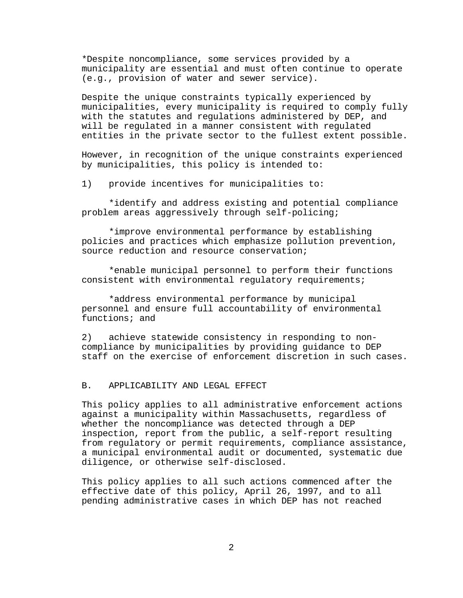\*Despite noncompliance, some services provided by a municipality are essential and must often continue to operate (e.g., provision of water and sewer service).

Despite the unique constraints typically experienced by municipalities, every municipality is required to comply fully with the statutes and regulations administered by DEP, and will be regulated in a manner consistent with regulated entities in the private sector to the fullest extent possible.

However, in recognition of the unique constraints experienced by municipalities, this policy is intended to:

1) provide incentives for municipalities to:

\*identify and address existing and potential compliance problem areas aggressively through self-policing;

\*improve environmental performance by establishing policies and practices which emphasize pollution prevention, source reduction and resource conservation;

\*enable municipal personnel to perform their functions consistent with environmental regulatory requirements;

\*address environmental performance by municipal personnel and ensure full accountability of environmental functions; and

2) achieve statewide consistency in responding to noncompliance by municipalities by providing guidance to DEP staff on the exercise of enforcement discretion in such cases.

## B. APPLICABILITY AND LEGAL EFFECT

This policy applies to all administrative enforcement actions against a municipality within Massachusetts, regardless of whether the noncompliance was detected through a DEP inspection, report from the public, a self-report resulting from regulatory or permit requirements, compliance assistance, a municipal environmental audit or documented, systematic due diligence, or otherwise self-disclosed.

This policy applies to all such actions commenced after the effective date of this policy, April 26, 1997, and to all pending administrative cases in which DEP has not reached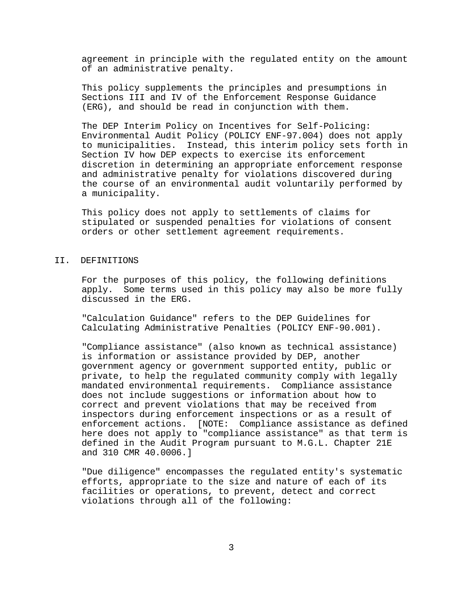agreement in principle with the regulated entity on the amount of an administrative penalty.

This policy supplements the principles and presumptions in Sections III and IV of the Enforcement Response Guidance (ERG), and should be read in conjunction with them.

The DEP Interim Policy on Incentives for Self-Policing: Environmental Audit Policy (POLICY ENF-97.004) does not apply to municipalities. Instead, this interim policy sets forth in Section IV how DEP expects to exercise its enforcement discretion in determining an appropriate enforcement response and administrative penalty for violations discovered during the course of an environmental audit voluntarily performed by a municipality.

This policy does not apply to settlements of claims for stipulated or suspended penalties for violations of consent orders or other settlement agreement requirements.

#### II. DEFINITIONS

For the purposes of this policy, the following definitions apply. Some terms used in this policy may also be more fully discussed in the ERG.

"Calculation Guidance" refers to the DEP Guidelines for Calculating Administrative Penalties (POLICY ENF-90.001).

"Compliance assistance" (also known as technical assistance) is information or assistance provided by DEP, another government agency or government supported entity, public or private, to help the regulated community comply with legally mandated environmental requirements. Compliance assistance does not include suggestions or information about how to correct and prevent violations that may be received from inspectors during enforcement inspections or as a result of enforcement actions. [NOTE: Compliance assistance as defined here does not apply to "compliance assistance" as that term is defined in the Audit Program pursuant to M.G.L. Chapter 21E and 310 CMR 40.0006.]

"Due diligence" encompasses the regulated entity's systematic efforts, appropriate to the size and nature of each of its facilities or operations, to prevent, detect and correct violations through all of the following: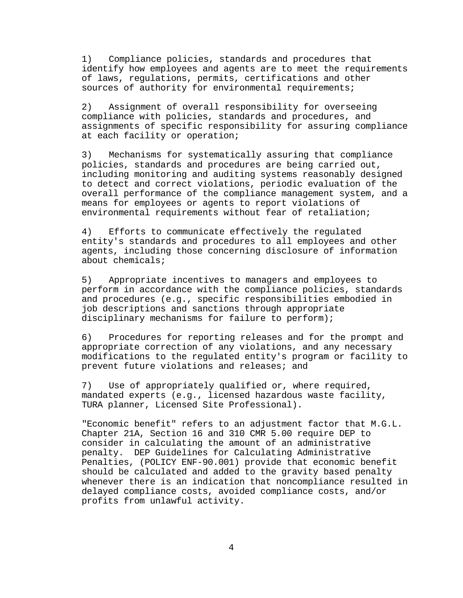1) Compliance policies, standards and procedures that identify how employees and agents are to meet the requirements of laws, regulations, permits, certifications and other sources of authority for environmental requirements;

2) Assignment of overall responsibility for overseeing compliance with policies, standards and procedures, and assignments of specific responsibility for assuring compliance at each facility or operation;

3) Mechanisms for systematically assuring that compliance policies, standards and procedures are being carried out, including monitoring and auditing systems reasonably designed to detect and correct violations, periodic evaluation of the overall performance of the compliance management system, and a means for employees or agents to report violations of environmental requirements without fear of retaliation;

4) Efforts to communicate effectively the regulated entity's standards and procedures to all employees and other agents, including those concerning disclosure of information about chemicals;

5) Appropriate incentives to managers and employees to perform in accordance with the compliance policies, standards and procedures (e.g., specific responsibilities embodied in job descriptions and sanctions through appropriate disciplinary mechanisms for failure to perform);

6) Procedures for reporting releases and for the prompt and appropriate correction of any violations, and any necessary modifications to the regulated entity's program or facility to prevent future violations and releases; and

7) Use of appropriately qualified or, where required, mandated experts (e.g., licensed hazardous waste facility, TURA planner, Licensed Site Professional).

"Economic benefit" refers to an adjustment factor that M.G.L. Chapter 21A, Section 16 and 310 CMR 5.00 require DEP to consider in calculating the amount of an administrative penalty. DEP Guidelines for Calculating Administrative Penalties, (POLICY ENF-90.001) provide that economic benefit should be calculated and added to the gravity based penalty whenever there is an indication that noncompliance resulted in delayed compliance costs, avoided compliance costs, and/or profits from unlawful activity.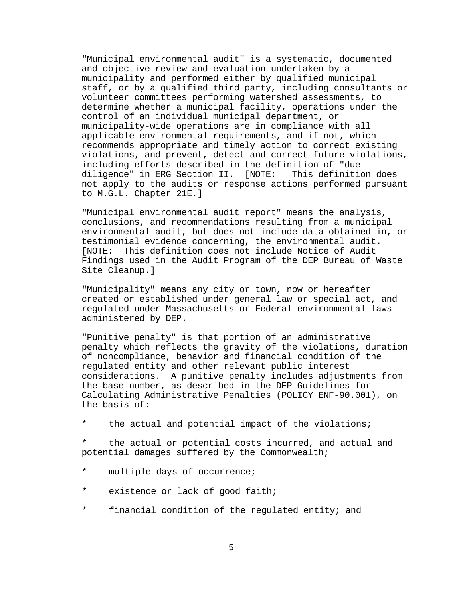"Municipal environmental audit" is a systematic, documented and objective review and evaluation undertaken by a municipality and performed either by qualified municipal staff, or by a qualified third party, including consultants or volunteer committees performing watershed assessments, to determine whether a municipal facility, operations under the control of an individual municipal department, or municipality-wide operations are in compliance with all applicable environmental requirements, and if not, which recommends appropriate and timely action to correct existing violations, and prevent, detect and correct future violations, including efforts described in the definition of "due diligence" in ERG Section II. [NOTE: This definition does not apply to the audits or response actions performed pursuant to M.G.L. Chapter 21E.]

"Municipal environmental audit report" means the analysis, conclusions, and recommendations resulting from a municipal environmental audit, but does not include data obtained in, or testimonial evidence concerning, the environmental audit. [NOTE: This definition does not include Notice of Audit Findings used in the Audit Program of the DEP Bureau of Waste Site Cleanup.]

"Municipality" means any city or town, now or hereafter created or established under general law or special act, and regulated under Massachusetts or Federal environmental laws administered by DEP.

"Punitive penalty" is that portion of an administrative penalty which reflects the gravity of the violations, duration of noncompliance, behavior and financial condition of the regulated entity and other relevant public interest considerations. A punitive penalty includes adjustments from the base number, as described in the DEP Guidelines for Calculating Administrative Penalties (POLICY ENF-90.001), on the basis of:

the actual and potential impact of the violations;

the actual or potential costs incurred, and actual and potential damages suffered by the Commonwealth;

- \* multiple days of occurrence;
- \* existence or lack of good faith;
- \* financial condition of the regulated entity; and

5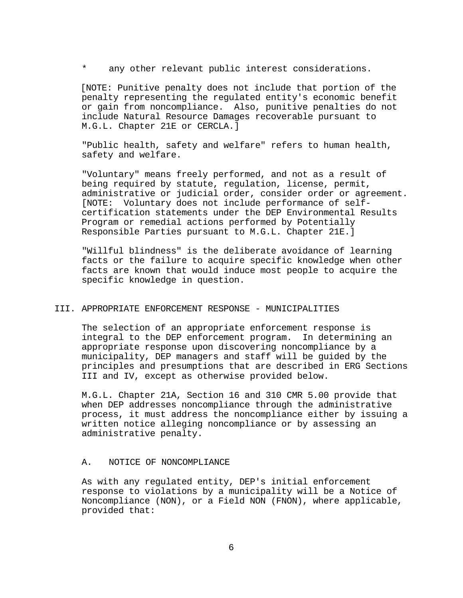any other relevant public interest considerations.

 [NOTE: Punitive penalty does not include that portion of the penalty representing the regulated entity's economic benefit or gain from noncompliance. Also, punitive penalties do not include Natural Resource Damages recoverable pursuant to M.G.L. Chapter 21E or CERCLA.]

"Public health, safety and welfare" refers to human health, safety and welfare.

"Voluntary" means freely performed, and not as a result of being required by statute, regulation, license, permit, administrative or judicial order, consider order or agreement. [NOTE: Voluntary does not include performance of selfcertification statements under the DEP Environmental Results Program or remedial actions performed by Potentially Responsible Parties pursuant to M.G.L. Chapter 21E.]

"Willful blindness" is the deliberate avoidance of learning facts or the failure to acquire specific knowledge when other facts are known that would induce most people to acquire the specific knowledge in question.

## III. APPROPRIATE ENFORCEMENT RESPONSE - MUNICIPALITIES

The selection of an appropriate enforcement response is integral to the DEP enforcement program. In determining an appropriate response upon discovering noncompliance by a municipality, DEP managers and staff will be guided by the principles and presumptions that are described in ERG Sections III and IV, except as otherwise provided below.

M.G.L. Chapter 21A, Section 16 and 310 CMR 5.00 provide that when DEP addresses noncompliance through the administrative process, it must address the noncompliance either by issuing a written notice alleging noncompliance or by assessing an administrative penalty.

#### A. NOTICE OF NONCOMPLIANCE

As with any regulated entity, DEP's initial enforcement response to violations by a municipality will be a Notice of Noncompliance (NON), or a Field NON (FNON), where applicable, provided that: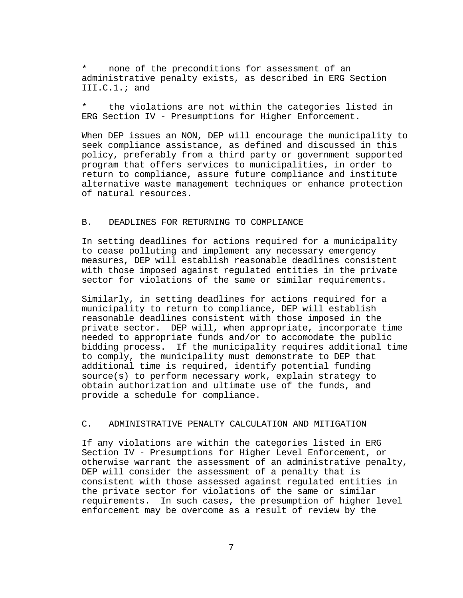none of the preconditions for assessment of an administrative penalty exists, as described in ERG Section III.C.1.; and

the violations are not within the categories listed in ERG Section IV - Presumptions for Higher Enforcement.

When DEP issues an NON, DEP will encourage the municipality to seek compliance assistance, as defined and discussed in this policy, preferably from a third party or government supported program that offers services to municipalities, in order to return to compliance, assure future compliance and institute alternative waste management techniques or enhance protection of natural resources.

## B. DEADLINES FOR RETURNING TO COMPLIANCE

In setting deadlines for actions required for a municipality to cease polluting and implement any necessary emergency measures, DEP will establish reasonable deadlines consistent with those imposed against regulated entities in the private sector for violations of the same or similar requirements.

Similarly, in setting deadlines for actions required for a municipality to return to compliance, DEP will establish reasonable deadlines consistent with those imposed in the private sector. DEP will, when appropriate, incorporate time needed to appropriate funds and/or to accomodate the public bidding process. If the municipality requires additional time to comply, the municipality must demonstrate to DEP that additional time is required, identify potential funding source(s) to perform necessary work, explain strategy to obtain authorization and ultimate use of the funds, and provide a schedule for compliance.

## C. ADMINISTRATIVE PENALTY CALCULATION AND MITIGATION

If any violations are within the categories listed in ERG Section IV - Presumptions for Higher Level Enforcement, or otherwise warrant the assessment of an administrative penalty, DEP will consider the assessment of a penalty that is consistent with those assessed against regulated entities in the private sector for violations of the same or similar requirements. In such cases, the presumption of higher level enforcement may be overcome as a result of review by the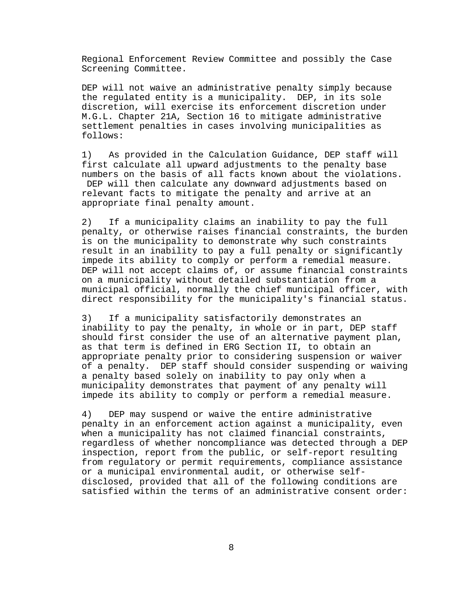Regional Enforcement Review Committee and possibly the Case Screening Committee.

DEP will not waive an administrative penalty simply because the regulated entity is a municipality. DEP, in its sole discretion, will exercise its enforcement discretion under M.G.L. Chapter 21A, Section 16 to mitigate administrative settlement penalties in cases involving municipalities as follows:

1) As provided in the Calculation Guidance, DEP staff will first calculate all upward adjustments to the penalty base numbers on the basis of all facts known about the violations. DEP will then calculate any downward adjustments based on relevant facts to mitigate the penalty and arrive at an appropriate final penalty amount.

2) If a municipality claims an inability to pay the full penalty, or otherwise raises financial constraints, the burden is on the municipality to demonstrate why such constraints result in an inability to pay a full penalty or significantly impede its ability to comply or perform a remedial measure. DEP will not accept claims of, or assume financial constraints on a municipality without detailed substantiation from a municipal official, normally the chief municipal officer, with direct responsibility for the municipality's financial status.

3) If a municipality satisfactorily demonstrates an inability to pay the penalty, in whole or in part, DEP staff should first consider the use of an alternative payment plan, as that term is defined in ERG Section II, to obtain an appropriate penalty prior to considering suspension or waiver of a penalty. DEP staff should consider suspending or waiving a penalty based solely on inability to pay only when a municipality demonstrates that payment of any penalty will impede its ability to comply or perform a remedial measure.

4) DEP may suspend or waive the entire administrative penalty in an enforcement action against a municipality, even when a municipality has not claimed financial constraints, regardless of whether noncompliance was detected through a DEP inspection, report from the public, or self-report resulting from regulatory or permit requirements, compliance assistance or a municipal environmental audit, or otherwise selfdisclosed, provided that all of the following conditions are satisfied within the terms of an administrative consent order: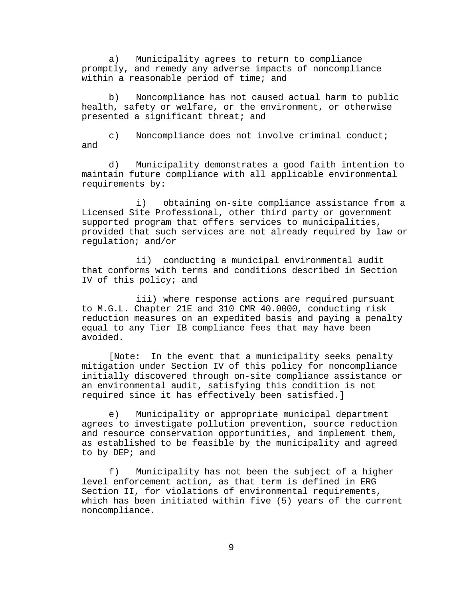a) Municipality agrees to return to compliance promptly, and remedy any adverse impacts of noncompliance within a reasonable period of time; and

b) Noncompliance has not caused actual harm to public health, safety or welfare, or the environment, or otherwise presented a significant threat; and

c) Noncompliance does not involve criminal conduct; and

d) Municipality demonstrates a good faith intention to maintain future compliance with all applicable environmental requirements by:

i) obtaining on-site compliance assistance from a Licensed Site Professional, other third party or government supported program that offers services to municipalities, provided that such services are not already required by law or regulation; and/or

ii) conducting a municipal environmental audit that conforms with terms and conditions described in Section IV of this policy; and

iii) where response actions are required pursuant to M.G.L. Chapter 21E and 310 CMR 40.0000, conducting risk reduction measures on an expedited basis and paying a penalty equal to any Tier IB compliance fees that may have been avoided.

[Note: In the event that a municipality seeks penalty mitigation under Section IV of this policy for noncompliance initially discovered through on-site compliance assistance or an environmental audit, satisfying this condition is not required since it has effectively been satisfied.]

e) Municipality or appropriate municipal department agrees to investigate pollution prevention, source reduction and resource conservation opportunities, and implement them, as established to be feasible by the municipality and agreed to by DEP; and

f) Municipality has not been the subject of a higher level enforcement action, as that term is defined in ERG Section II, for violations of environmental requirements, which has been initiated within five (5) years of the current noncompliance.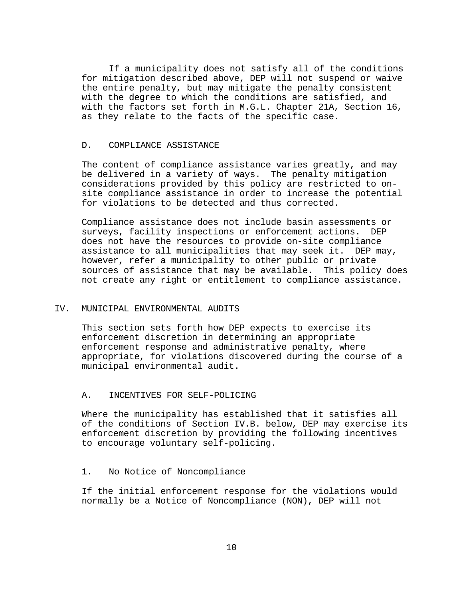If a municipality does not satisfy all of the conditions for mitigation described above, DEP will not suspend or waive the entire penalty, but may mitigate the penalty consistent with the degree to which the conditions are satisfied, and with the factors set forth in M.G.L. Chapter 21A, Section 16, as they relate to the facts of the specific case.

## D. COMPLIANCE ASSISTANCE

The content of compliance assistance varies greatly, and may be delivered in a variety of ways. The penalty mitigation considerations provided by this policy are restricted to onsite compliance assistance in order to increase the potential for violations to be detected and thus corrected.

Compliance assistance does not include basin assessments or surveys, facility inspections or enforcement actions. DEP does not have the resources to provide on-site compliance assistance to all municipalities that may seek it. DEP may, however, refer a municipality to other public or private sources of assistance that may be available. This policy does not create any right or entitlement to compliance assistance.

#### IV. MUNICIPAL ENVIRONMENTAL AUDITS

This section sets forth how DEP expects to exercise its enforcement discretion in determining an appropriate enforcement response and administrative penalty, where appropriate, for violations discovered during the course of a municipal environmental audit.

## A. INCENTIVES FOR SELF-POLICING

Where the municipality has established that it satisfies all of the conditions of Section IV.B. below, DEP may exercise its enforcement discretion by providing the following incentives to encourage voluntary self-policing.

#### 1. No Notice of Noncompliance

If the initial enforcement response for the violations would normally be a Notice of Noncompliance (NON), DEP will not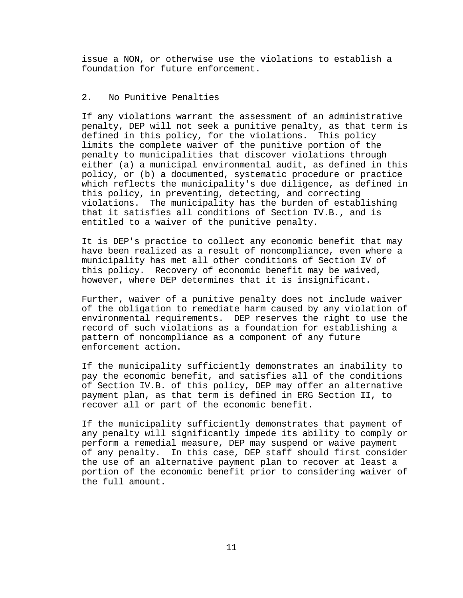issue a NON, or otherwise use the violations to establish a foundation for future enforcement.

## 2. No Punitive Penalties

If any violations warrant the assessment of an administrative penalty, DEP will not seek a punitive penalty, as that term is defined in this policy, for the violations. This policy limits the complete waiver of the punitive portion of the penalty to municipalities that discover violations through either (a) a municipal environmental audit, as defined in this policy, or (b) a documented, systematic procedure or practice which reflects the municipality's due diligence, as defined in this policy, in preventing, detecting, and correcting violations. The municipality has the burden of establishing that it satisfies all conditions of Section IV.B., and is entitled to a waiver of the punitive penalty.

It is DEP's practice to collect any economic benefit that may have been realized as a result of noncompliance, even where a municipality has met all other conditions of Section IV of this policy. Recovery of economic benefit may be waived, however, where DEP determines that it is insignificant.

Further, waiver of a punitive penalty does not include waiver of the obligation to remediate harm caused by any violation of environmental requirements. DEP reserves the right to use the record of such violations as a foundation for establishing a pattern of noncompliance as a component of any future enforcement action.

If the municipality sufficiently demonstrates an inability to pay the economic benefit, and satisfies all of the conditions of Section IV.B. of this policy, DEP may offer an alternative payment plan, as that term is defined in ERG Section II, to recover all or part of the economic benefit.

If the municipality sufficiently demonstrates that payment of any penalty will significantly impede its ability to comply or perform a remedial measure, DEP may suspend or waive payment of any penalty. In this case, DEP staff should first consider the use of an alternative payment plan to recover at least a portion of the economic benefit prior to considering waiver of the full amount.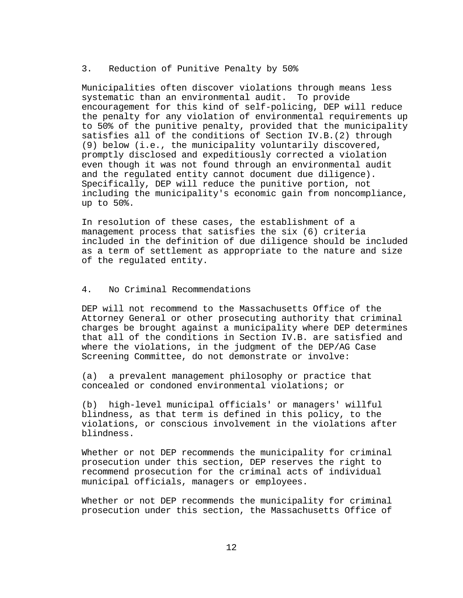## 3. Reduction of Punitive Penalty by 50%

Municipalities often discover violations through means less systematic than an environmental audit. To provide encouragement for this kind of self-policing, DEP will reduce the penalty for any violation of environmental requirements up to 50% of the punitive penalty, provided that the municipality satisfies all of the conditions of Section IV.B.(2) through (9) below (i.e., the municipality voluntarily discovered, promptly disclosed and expeditiously corrected a violation even though it was not found through an environmental audit and the regulated entity cannot document due diligence). Specifically, DEP will reduce the punitive portion, not including the municipality's economic gain from noncompliance, up to 50%.

In resolution of these cases, the establishment of a management process that satisfies the six (6) criteria included in the definition of due diligence should be included as a term of settlement as appropriate to the nature and size of the regulated entity.

## 4. No Criminal Recommendations

DEP will not recommend to the Massachusetts Office of the Attorney General or other prosecuting authority that criminal charges be brought against a municipality where DEP determines that all of the conditions in Section IV.B. are satisfied and where the violations, in the judgment of the DEP/AG Case Screening Committee, do not demonstrate or involve:

(a) a prevalent management philosophy or practice that concealed or condoned environmental violations; or

(b) high-level municipal officials' or managers' willful blindness, as that term is defined in this policy, to the violations, or conscious involvement in the violations after blindness.

Whether or not DEP recommends the municipality for criminal prosecution under this section, DEP reserves the right to recommend prosecution for the criminal acts of individual municipal officials, managers or employees.

Whether or not DEP recommends the municipality for criminal prosecution under this section, the Massachusetts Office of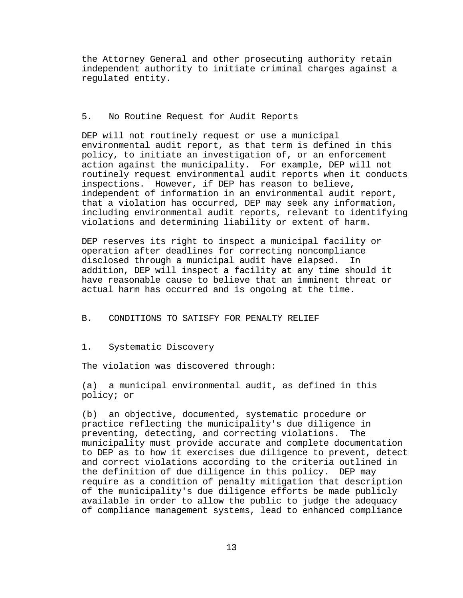the Attorney General and other prosecuting authority retain independent authority to initiate criminal charges against a regulated entity.

## 5. No Routine Request for Audit Reports

DEP will not routinely request or use a municipal environmental audit report, as that term is defined in this policy, to initiate an investigation of, or an enforcement action against the municipality. For example, DEP will not routinely request environmental audit reports when it conducts inspections. However, if DEP has reason to believe, independent of information in an environmental audit report, that a violation has occurred, DEP may seek any information, including environmental audit reports, relevant to identifying violations and determining liability or extent of harm.

DEP reserves its right to inspect a municipal facility or operation after deadlines for correcting noncompliance disclosed through a municipal audit have elapsed. In addition, DEP will inspect a facility at any time should it have reasonable cause to believe that an imminent threat or actual harm has occurred and is ongoing at the time.

#### B. CONDITIONS TO SATISFY FOR PENALTY RELIEF

1. Systematic Discovery

The violation was discovered through:

(a) a municipal environmental audit, as defined in this policy; or

(b) an objective, documented, systematic procedure or practice reflecting the municipality's due diligence in preventing, detecting, and correcting violations. The municipality must provide accurate and complete documentation to DEP as to how it exercises due diligence to prevent, detect and correct violations according to the criteria outlined in the definition of due diligence in this policy. DEP may require as a condition of penalty mitigation that description of the municipality's due diligence efforts be made publicly available in order to allow the public to judge the adequacy of compliance management systems, lead to enhanced compliance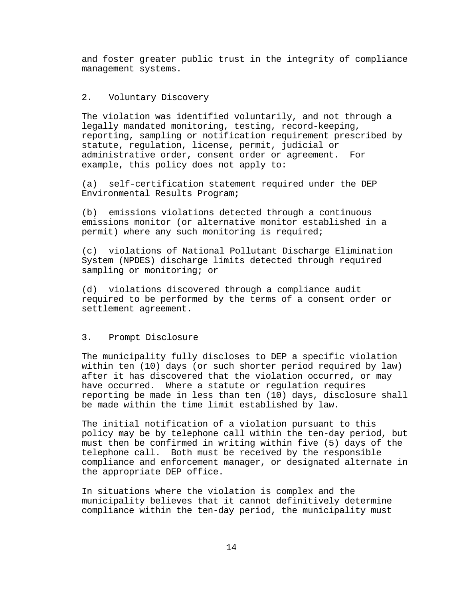and foster greater public trust in the integrity of compliance management systems.

## 2. Voluntary Discovery

The violation was identified voluntarily, and not through a legally mandated monitoring, testing, record-keeping, reporting, sampling or notification requirement prescribed by statute, regulation, license, permit, judicial or administrative order, consent order or agreement. For example, this policy does not apply to:

(a) self-certification statement required under the DEP Environmental Results Program;

(b) emissions violations detected through a continuous emissions monitor (or alternative monitor established in a permit) where any such monitoring is required;

(c) violations of National Pollutant Discharge Elimination System (NPDES) discharge limits detected through required sampling or monitoring; or

(d) violations discovered through a compliance audit required to be performed by the terms of a consent order or settlement agreement.

## 3. Prompt Disclosure

The municipality fully discloses to DEP a specific violation within ten (10) days (or such shorter period required by law) after it has discovered that the violation occurred, or may have occurred. Where a statute or regulation requires reporting be made in less than ten (10) days, disclosure shall be made within the time limit established by law.

The initial notification of a violation pursuant to this policy may be by telephone call within the ten-day period, but must then be confirmed in writing within five (5) days of the telephone call. Both must be received by the responsible compliance and enforcement manager, or designated alternate in the appropriate DEP office.

In situations where the violation is complex and the municipality believes that it cannot definitively determine compliance within the ten-day period, the municipality must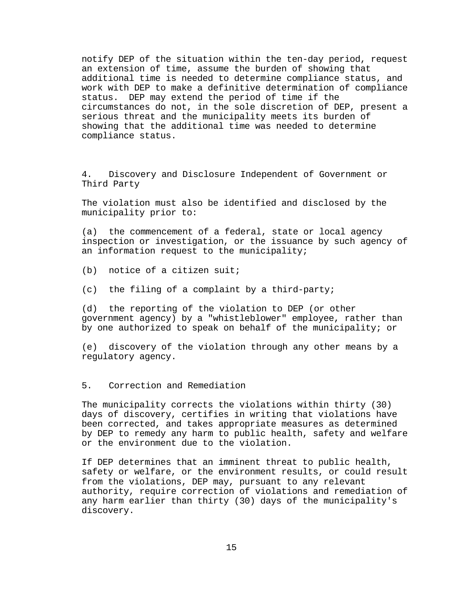notify DEP of the situation within the ten-day period, request an extension of time, assume the burden of showing that additional time is needed to determine compliance status, and work with DEP to make a definitive determination of compliance status. DEP may extend the period of time if the circumstances do not, in the sole discretion of DEP, present a serious threat and the municipality meets its burden of showing that the additional time was needed to determine compliance status.

4. Discovery and Disclosure Independent of Government or Third Party

The violation must also be identified and disclosed by the municipality prior to:

(a) the commencement of a federal, state or local agency inspection or investigation, or the issuance by such agency of an information request to the municipality;

(b) notice of a citizen suit;

(c) the filing of a complaint by a third-party;

(d) the reporting of the violation to DEP (or other government agency) by a "whistleblower" employee, rather than by one authorized to speak on behalf of the municipality; or

(e) discovery of the violation through any other means by a regulatory agency.

5. Correction and Remediation

The municipality corrects the violations within thirty (30) days of discovery, certifies in writing that violations have been corrected, and takes appropriate measures as determined by DEP to remedy any harm to public health, safety and welfare or the environment due to the violation.

If DEP determines that an imminent threat to public health, safety or welfare, or the environment results, or could result from the violations, DEP may, pursuant to any relevant authority, require correction of violations and remediation of any harm earlier than thirty (30) days of the municipality's discovery.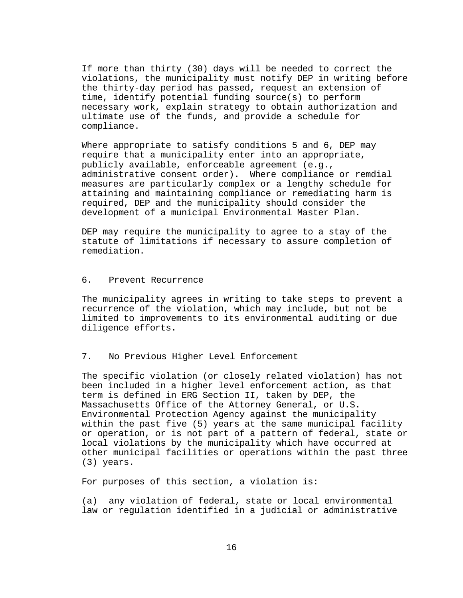If more than thirty (30) days will be needed to correct the violations, the municipality must notify DEP in writing before the thirty-day period has passed, request an extension of time, identify potential funding source(s) to perform necessary work, explain strategy to obtain authorization and ultimate use of the funds, and provide a schedule for compliance.

Where appropriate to satisfy conditions 5 and 6, DEP may require that a municipality enter into an appropriate, publicly available, enforceable agreement (e.g., administrative consent order). Where compliance or remdial measures are particularly complex or a lengthy schedule for attaining and maintaining compliance or remediating harm is required, DEP and the municipality should consider the development of a municipal Environmental Master Plan.

DEP may require the municipality to agree to a stay of the statute of limitations if necessary to assure completion of remediation.

## 6. Prevent Recurrence

The municipality agrees in writing to take steps to prevent a recurrence of the violation, which may include, but not be limited to improvements to its environmental auditing or due diligence efforts.

## 7. No Previous Higher Level Enforcement

The specific violation (or closely related violation) has not been included in a higher level enforcement action, as that term is defined in ERG Section II, taken by DEP, the Massachusetts Office of the Attorney General, or U.S. Environmental Protection Agency against the municipality within the past five (5) years at the same municipal facility or operation, or is not part of a pattern of federal, state or local violations by the municipality which have occurred at other municipal facilities or operations within the past three (3) years.

For purposes of this section, a violation is:

(a) any violation of federal, state or local environmental law or regulation identified in a judicial or administrative